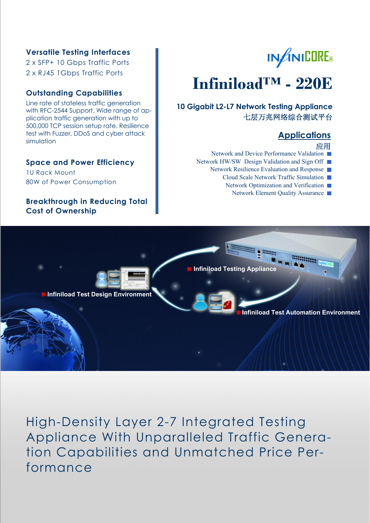#### **Versatile Testing Interfaces**

2 x SFP+ 10 Gbps Traffic Ports 2 x RJ45 1Gbps Traffic Ports

#### **Outstanding Capabilities**

Line rate of stateless traffic generation with RFC-2544 Support. Wide range of application traffic generation with up to 500,000 TCP session setup rate. Resilience test with Fuzzer, DDoS and cyber attack simulation

#### **Space and Power Efficiency**

1U Rack Mount 80W of Power Consumption

#### **Breakthrough in Reducing Total Cost of Ownership**

# **IN**f**INICORE®**

## **Infiniload™ - 220E**

**10 Gigabit L2-L7 Network Testing Appliance**  七层万兆网络综合测试平台

### **Applications**

#### 应用

- Network and Device Performance Validation
- Network HW/SW Design Validation and Sign Off
	- Network Resilience Evaluation and Response
		- Cloud Scale Network Traffic Simulation
		- Network Optimization and Verification
			- Network Element Quality Assurance ■



High-Density Layer 2-7 Integrated Testing Appliance With Unparalleled Traffic Generation Capabilities and Unmatched Price Performance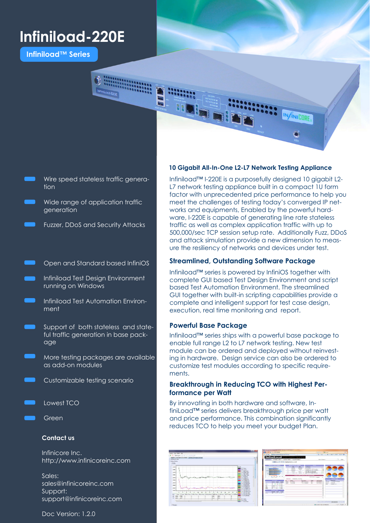## **Infiniload-220E**

**Infiniload™ Series** 



- Wire speed stateless traffic generation
- Wide range of application traffic generation
	- Fuzzer, DDoS and Security Attacks
- Open and Standard based InfiniOS
- Infiniload Test Design Environment running on Windows
- Infiniload Test Automation Environment
- Support of both stateless and stateful traffic generation in base package
	- More testing packages are available as add-on modules
	- Customizable testing scenario
- Lowest TCO
	- Green

#### **Contact us**

Infinicore Inc. http://www.infinicoreinc.com

Sales: sales@infinicoreinc.com Support: support@infinicoreinc.com

Doc Version: 1.2.0

#### **10 Gigabit All-In-One L2-L7 Network Testing Appliance**

Infiniload™ I-220E is a purposefully designed 10 gigabit L2- L7 network testing appliance built in a compact 1U form factor with unprecedented price performance to help you meet the challenges of testing today's converged IP networks and equipments, Enabled by the powerful hardware, I-220E is capable of generating line rate stateless traffic as well as complex application traffic with up to 500,000/sec TCP session setup rate. Additionally Fuzz, DDoS and attack simulation provide a new dimension to measure the resiliency of networks and devices under test.

#### **Streamlined, Outstanding Software Package**

Infiniload™ series is powered by InfiniOS together with complete GUI based Test Design Environment and script based Test Automation Environment. The streamlined GUI together with built-in scripting capabilities provide a complete and intelligent support for test case design, execution, real time monitoring and report.

#### **Powerful Base Package**

Infiniload™ series ships with a powerful base package to enable full range L2 to L7 network testing. New test module can be ordered and deployed without reinvesting in hardware. Design service can also be ordered to customize test modules according to specific requirements.

#### **Breakthrough in Reducing TCO with Highest Performance per Watt**

By innovating in both hardware and software, InfiniLoad™ series delivers breakthrough price per watt and price performance. This combination significantly reduces TCO to help you meet your budget Plan.

|                                                                                                                                                                                                                                                   | <b>AND COUNTRY</b>                                                                                                                                                                                                                                                                                                                                              | of the top of the state.                                                                                                                                                                                                                 |
|---------------------------------------------------------------------------------------------------------------------------------------------------------------------------------------------------------------------------------------------------|-----------------------------------------------------------------------------------------------------------------------------------------------------------------------------------------------------------------------------------------------------------------------------------------------------------------------------------------------------------------|------------------------------------------------------------------------------------------------------------------------------------------------------------------------------------------------------------------------------------------|
| ALC: YES AND UNK                                                                                                                                                                                                                                  | WINDS - # Monachi Reserved Street                                                                                                                                                                                                                                                                                                                               | The state of the state state was the                                                                                                                                                                                                     |
| A 10 Mayo 2012 21 ESSEX<br>SERVICE AND RESIDENCE OF A 49-YEAR-OLD FEMALE<br>1.12<br><b>CONTRACTOR</b><br><b>Belgium</b><br>$-0.6$                                                                                                                 | Infinitiond<br>12 LT Traffic Generator<br>program rates  provide cash  I have she wants<br><b>Edelard EQEN equipment and</b>                                                                                                                                                                                                                                    | <b>Corporate</b><br><b>Bank Brown</b>                                                                                                                                                                                                    |
| <b>Wind</b><br><b>COMM</b><br><b>IT 1. Local</b><br><b>CREE</b><br>S. See<br><b>DOM NO</b><br><b>SOFT</b><br><b>TTAI VA</b><br>Page Park<br><b>STATE</b><br><b>Jo Reyn Force</b><br><b>Callenge</b><br>L. All Rose<br><b>JERS</b><br>1.0.00 units | <b>COLOR</b><br><b>DOM:</b><br><b>Filled</b><br>drams.<br><b>Laboratory</b><br><b>House</b><br><b>COLOR</b><br><b>CONTRACTOR</b><br><b>STAR</b><br><b>Service State</b><br><b>MARINEZ AND COMPANY AND A HOLLY</b><br>$\sim$<br><b>Branch Alberta</b><br>Instrument - Advisories & America                                                                       | <b>Scott Street</b><br><b>Brown Break</b><br>Internet Texas First Thompson<br>Informity from and informations<br><b>Box 20, LLA SECOND</b><br><b>BELLEVILLE AND REAL PROPERTY</b><br>commercial continues of the<br><b>Service State</b> |
| <b>TOM</b><br><b>E. LARVAY</b><br>1.0 percent<br><b>JERT</b><br><b>IT IS JOYUS</b><br>15,920<br><b>COLL</b><br>COMPANY.<br>L. L. Million<br>1 Mill Miller<br>$-1$<br><b>E. M. Birface</b><br>1.00 ha rate                                         | ___<br><b>Address</b><br><b>Business</b><br>ARC'S Market<br>Angel Corp.<br><b>CONTRACTOR</b><br><b><i><u>Stationary</u></i></b><br><b>Constitution</b><br><b>Contract Contract</b><br>---<br>- -<br>position for the second<br><b>SERVE 18 IN SILA</b><br>$17 - 14 - 16 = 1944$<br><b>Between Arts</b><br><b>Senior and State</b><br><b>CALL &amp; STORY OF</b> | ---<br>and futuring<br><b>MAG</b><br><b>COMMERCIAL</b><br>---<br><b>Suite Avenue</b><br><b>Security</b><br><b>CARD OF</b><br><b>COMPANY</b><br><b>Saltaban</b><br><b>Service</b><br><b>LEMELTO</b><br>sensitive and                      |
| by They Johns Michael Life has Machen<br>In or he ring<br>to at prices.<br>10 per per e<br>P 1984<br><b>Partner</b><br><b><i>Printed States</i></b>                                                                                               |                                                                                                                                                                                                                                                                                                                                                                 | LONG AND HER RESIDENCE IN ALL ANGELES, AND IN, 1970.                                                                                                                                                                                     |
| - Seeger                                                                                                                                                                                                                                          |                                                                                                                                                                                                                                                                                                                                                                 | Girl Appelie<br>WANTED THAT IS THE THE                                                                                                                                                                                                   |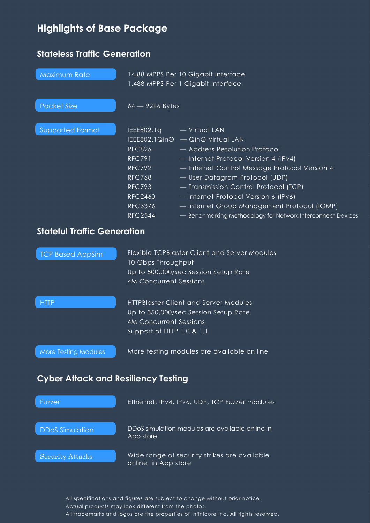## **Highlights of Base Package**

## **Stateless Traffic Generation**

| Maximum Rate                               | 14.88 MPPS Per 10 Gigabit Interface<br>1.488 MPPS Per 1 Gigabit Interface                                                                             |                                                                                                                                                                                                                                                                                                                                                                                                              |  |  |
|--------------------------------------------|-------------------------------------------------------------------------------------------------------------------------------------------------------|--------------------------------------------------------------------------------------------------------------------------------------------------------------------------------------------------------------------------------------------------------------------------------------------------------------------------------------------------------------------------------------------------------------|--|--|
| <b>Packet Size</b>                         | $64 - 9216$ Bytes                                                                                                                                     |                                                                                                                                                                                                                                                                                                                                                                                                              |  |  |
| <b>Supported Format</b>                    | IEEE802.1q<br><b>RFC826</b><br><b>RFC791</b><br><b>RFC792</b><br><b>RFC768</b><br><b>RFC793</b><br><b>RFC2460</b><br><b>RFC3376</b><br><b>RFC2544</b> | - Virtual LAN<br>IEEE802.1QinQ - QinQ Virtual LAN<br>- Address Resolution Protocol<br>- Internet Protocol Version 4 (IPv4)<br>- Internet Control Message Protocol Version 4<br>- User Datagram Protocol (UDP)<br>- Transmission Control Protocol (TCP)<br>- Internet Protocol Version 6 (IPv6)<br>- Internet Group Management Protocol (IGMP)<br>- Benchmarking Methodology for Network Interconnect Devices |  |  |
| <b>Stateful Traffic Generation</b>         |                                                                                                                                                       |                                                                                                                                                                                                                                                                                                                                                                                                              |  |  |
| <b>TCP Based AppSim</b>                    | <b>Flexible TCPBlaster Client and Server Modules</b><br>10 Gbps Throughput<br>Up to 500,000/sec Session Setup Rate<br><b>4M Concurrent Sessions</b>   |                                                                                                                                                                                                                                                                                                                                                                                                              |  |  |
| <b>HTTP</b>                                | <b>4M Concurrent Sessions</b><br>Support of HTTP 1.0 & 1.1                                                                                            | <b>HTTPBlaster Client and Server Modules</b><br>Up to 350,000/sec Session Setup Rate                                                                                                                                                                                                                                                                                                                         |  |  |
| <b>More Testing Modules</b>                | More testing modules are available on line                                                                                                            |                                                                                                                                                                                                                                                                                                                                                                                                              |  |  |
| <b>Cyber Attack and Resiliency Testing</b> |                                                                                                                                                       |                                                                                                                                                                                                                                                                                                                                                                                                              |  |  |
| Fuzzer                                     |                                                                                                                                                       | Ethernet, IPv4, IPv6, UDP, TCP Fuzzer modules                                                                                                                                                                                                                                                                                                                                                                |  |  |
| <b>DDoS Simulation</b>                     | App store                                                                                                                                             | DDoS simulation modules are available online in                                                                                                                                                                                                                                                                                                                                                              |  |  |

Security Attacks Nide range of security strikes are available online in App store

> All specifications and figures are subject to change without prior notice. Actual products may look different from the photos. All trademarks and logos are the properties of Infinicore Inc. All rights reserved.